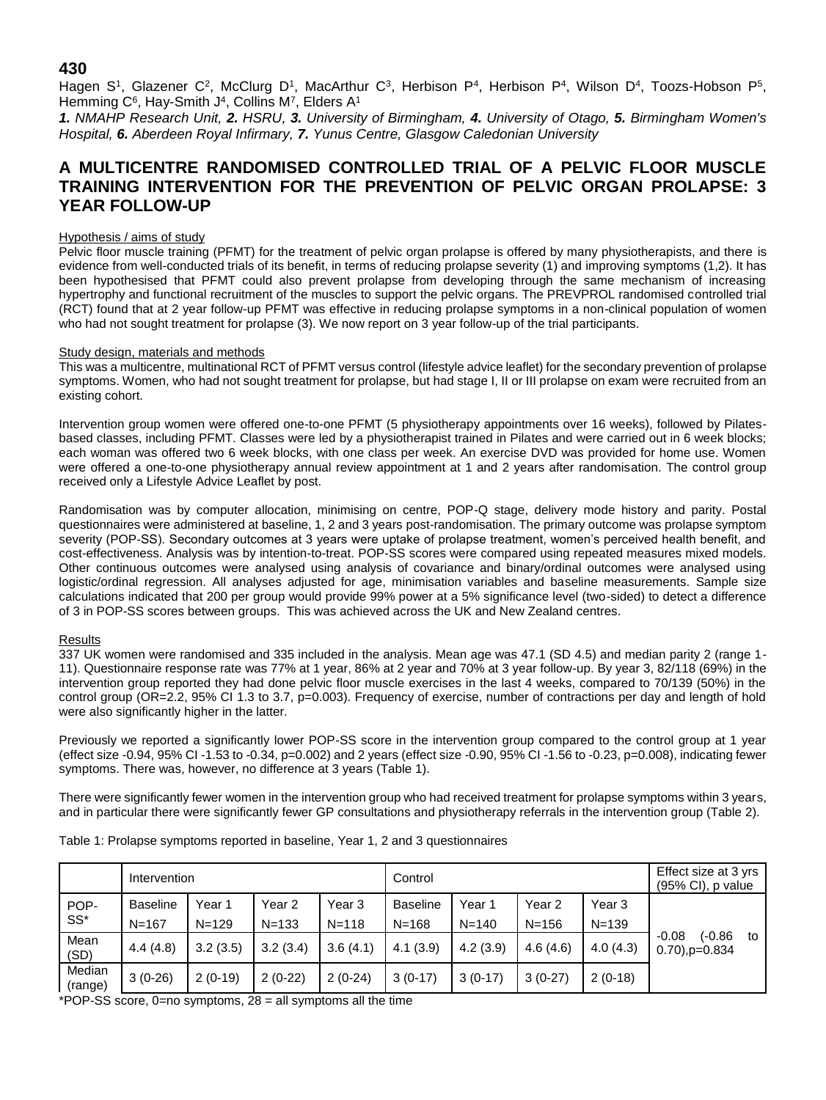## **430**

Hagen S<sup>1</sup>, Glazener C<sup>2</sup>, McClurg D<sup>1</sup>, MacArthur C<sup>3</sup>, Herbison P<sup>4</sup>, Herbison P<sup>4</sup>, Wilson D<sup>4</sup>, Toozs-Hobson P<sup>5</sup>, Hemming C<sup>6</sup>, Hay-Smith J<sup>4</sup>, Collins M<sup>7</sup>, Elders A<sup>1</sup>

*1. NMAHP Research Unit, 2. HSRU, 3. University of Birmingham, 4. University of Otago, 5. Birmingham Women's Hospital, 6. Aberdeen Royal Infirmary, 7. Yunus Centre, Glasgow Caledonian University*

# **A MULTICENTRE RANDOMISED CONTROLLED TRIAL OF A PELVIC FLOOR MUSCLE TRAINING INTERVENTION FOR THE PREVENTION OF PELVIC ORGAN PROLAPSE: 3 YEAR FOLLOW-UP**

#### Hypothesis / aims of study

Pelvic floor muscle training (PFMT) for the treatment of pelvic organ prolapse is offered by many physiotherapists, and there is evidence from well-conducted trials of its benefit, in terms of reducing prolapse severity (1) and improving symptoms (1,2). It has been hypothesised that PFMT could also prevent prolapse from developing through the same mechanism of increasing hypertrophy and functional recruitment of the muscles to support the pelvic organs. The PREVPROL randomised controlled trial (RCT) found that at 2 year follow-up PFMT was effective in reducing prolapse symptoms in a non-clinical population of women who had not sought treatment for prolapse (3). We now report on 3 year follow-up of the trial participants.

### Study design, materials and methods

This was a multicentre, multinational RCT of PFMT versus control (lifestyle advice leaflet) for the secondary prevention of prolapse symptoms. Women, who had not sought treatment for prolapse, but had stage I, II or III prolapse on exam were recruited from an existing cohort.

Intervention group women were offered one-to-one PFMT (5 physiotherapy appointments over 16 weeks), followed by Pilatesbased classes, including PFMT. Classes were led by a physiotherapist trained in Pilates and were carried out in 6 week blocks; each woman was offered two 6 week blocks, with one class per week. An exercise DVD was provided for home use. Women were offered a one-to-one physiotherapy annual review appointment at 1 and 2 years after randomisation. The control group received only a Lifestyle Advice Leaflet by post.

Randomisation was by computer allocation, minimising on centre, POP-Q stage, delivery mode history and parity. Postal questionnaires were administered at baseline, 1, 2 and 3 years post-randomisation. The primary outcome was prolapse symptom severity (POP-SS). Secondary outcomes at 3 years were uptake of prolapse treatment, women's perceived health benefit, and cost-effectiveness. Analysis was by intention-to-treat. POP-SS scores were compared using repeated measures mixed models. Other continuous outcomes were analysed using analysis of covariance and binary/ordinal outcomes were analysed using logistic/ordinal regression. All analyses adjusted for age, minimisation variables and baseline measurements. Sample size calculations indicated that 200 per group would provide 99% power at a 5% significance level (two-sided) to detect a difference of 3 in POP-SS scores between groups. This was achieved across the UK and New Zealand centres.

#### Results

337 UK women were randomised and 335 included in the analysis. Mean age was 47.1 (SD 4.5) and median parity 2 (range 1- 11). Questionnaire response rate was 77% at 1 year, 86% at 2 year and 70% at 3 year follow-up. By year 3, 82/118 (69%) in the intervention group reported they had done pelvic floor muscle exercises in the last 4 weeks, compared to 70/139 (50%) in the control group (OR=2.2, 95% CI 1.3 to 3.7, p=0.003). Frequency of exercise, number of contractions per day and length of hold were also significantly higher in the latter.

Previously we reported a significantly lower POP-SS score in the intervention group compared to the control group at 1 year (effect size -0.94, 95% CI -1.53 to -0.34, p=0.002) and 2 years (effect size -0.90, 95% CI -1.56 to -0.23, p=0.008), indicating fewer symptoms. There was, however, no difference at 3 years (Table 1).

There were significantly fewer women in the intervention group who had received treatment for prolapse symptoms within 3 years, and in particular there were significantly fewer GP consultations and physiotherapy referrals in the intervention group (Table 2).

|                   | Intervention                 |                     |                     |                     | Control                      |                     |                     |                     | Effect size at 3 yrs<br>$(95\% \text{ Cl})$ , p value |    |
|-------------------|------------------------------|---------------------|---------------------|---------------------|------------------------------|---------------------|---------------------|---------------------|-------------------------------------------------------|----|
| POP-<br>$SS^*$    | <b>Baseline</b><br>$N = 167$ | Year 1<br>$N = 129$ | Year 2<br>$N = 133$ | Year 3<br>$N = 118$ | <b>Baseline</b><br>$N = 168$ | Year 1<br>$N = 140$ | Year 2<br>$N = 156$ | Year 3<br>$N = 139$ | (-0.86<br>$-0.08$<br>$0.70$ , $p=0.834$               |    |
| Mean<br>(SD)      | 4.4(4.8)                     | 3.2(3.5)            | 3.2(3.4)            | 3.6(4.1)            | 4.1(3.9)                     | 4.2(3.9)            | 4.6(4.6)            | 4.0(4.3)            |                                                       | to |
| Median<br>(range) | $3(0-26)$                    | $2(0-19)$           | $2(0-22)$           | $2(0-24)$           | $3(0-17)$                    | $3(0-17)$           | $3(0-27)$           | $2(0-18)$           |                                                       |    |

Table 1: Prolapse symptoms reported in baseline, Year 1, 2 and 3 questionnaires

\*POP-SS score, 0=no symptoms, 28 = all symptoms all the time